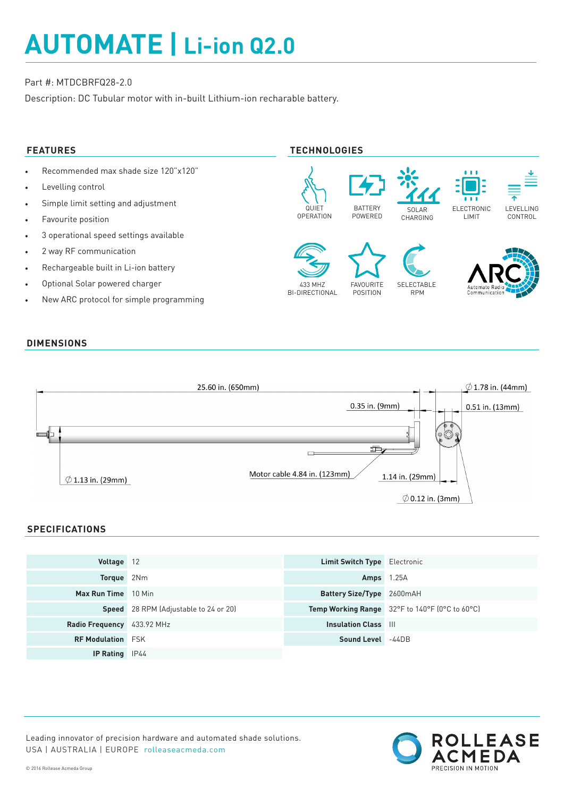# **AUTOMATE | Li-ion Q2.0**

## Part #: MTDCBRFQ28-2.0

Description: DC Tubular motor with in-built Lithium-ion recharable battery.

- Recommended max shade size 120"x120"
- Levelling control
- Simple limit setting and adjustment
- Favourite position
- 3 operational speed settings available
- 2 way RF communication
- Rechargeable built in Li-ion battery
- Optional Solar powered charger
- New ARC protocol for simple programming

# **FEATURES TECHNOLOGIES**



### **DIMENSIONS**



#### **SPECIFICATIONS**

| Voltage 12                 |                                              | <b>Limit Switch Type</b> Electronic |                                                |
|----------------------------|----------------------------------------------|-------------------------------------|------------------------------------------------|
| <b>Torque</b> 2Nm          |                                              | <b>Amps</b> 1.25A                   |                                                |
| Max Run Time 10 Min        |                                              | <b>Battery Size/Type</b> 2600mAH    |                                                |
|                            | <b>Speed</b> 28 RPM (Adjustable to 24 or 20) |                                     | Temp Working Range 32°F to 140°F (0°C to 60°C) |
| Radio Frequency 433.92 MHz |                                              | <b>Insulation Class III</b>         |                                                |
| <b>RF Modulation</b> FSK   |                                              | Sound Level -44DB                   |                                                |
| <b>IP Rating</b> IP44      |                                              |                                     |                                                |